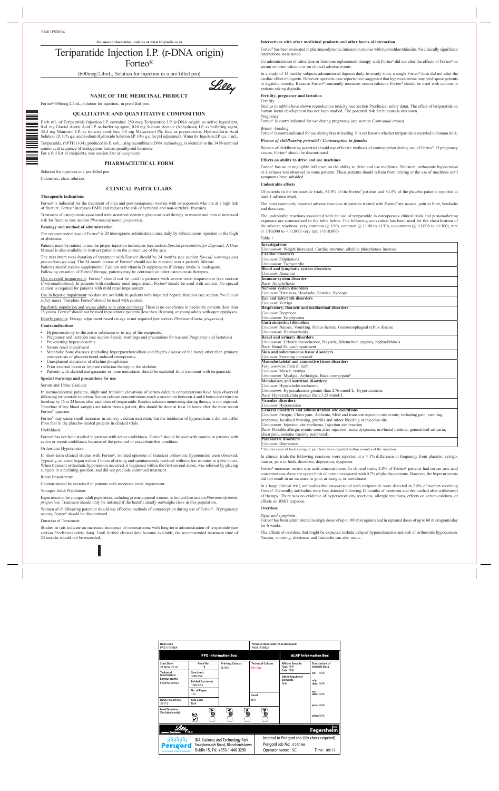**For more information, visit us at www.lillyindia.co.in**

# Teriparatide Injection I.P. (r-DNA origin) Forteo®

(600mcg/2.4mL, Solution for injection in a pre-filled pen)

**NAME OF THE MEDICINAL PRODUCT**

Forteo® 600mcg/2.4mL, solution for injection, in pre-filled pen.

# **QUALITATIVE AND QUANTITATIVE COMPOSITION**

Each mL of Teriparatide Injection I.P. contains: 250 mcg Teriparatide I.P. (r-DNA origin) as active ingredient, 0.41 mg Glacial Acetic Acid I.P. as buffering agent, 0.10 mg Sodium Acetate (Anhydrous) I.P. as buffering agent, 45.4 mg Mannitol I.P. as tonicity modifier, 3.0 mg Metacresol Ph. Eur. as preservative, Hydrochloric Acid Solution I.P. 10% q.s. and Sodium Hydroxide Solution I.P. 10% q.s. for pH adjustment, Water for Injection I.P. q.s. 1 mL.

Teriparatide, rhPTH (1-34), produced in E. coli, using recombinant DNA technology, is identical to the 34 N-terminal amino acid sequence of endogenous human parathyroid hormone. For a full list of excipients, (see section *List of excipients*)

**PHARMACEUTICAL FORM**

Solution for injection in a pre-filled pen. Colourless, clear solution

# **CLINICAL PARTICULARS**

# **Therapeutic indications**

Forteo® is indicated for the treatment of men and postmenopausal women with osteoporosis who are at a high risk of fracture. Forteo® increases BMD and reduces the risk of vertebral and non-vertebral fractures.

Treatment of osteoporosis associated with sustained systemic glucocorticoid therapy in women and men at increased risk for fracture (see section *Pharmacodynamic properties*).

Paediatric population and young adults with open epiphyses: There is no experience in paediatric patients (less than 18 years). Forteo® should not be used in paediatric patients (less than 18 years), or young adults with open epiphyses.

# **Posology and method of administration**

The recommended dose of Forteo® is 20 micrograms administered once daily by subcutaneous injection in the thigh or abdomen.

Patients must be trained to use the proper injection techniques (see section *Special precautions for disposal*). A User Manual is also available to instruct patients on the correct use of the pen.

The maximum total duration of treatment with Forteo® should be 24 months (see section *Special warnings and precautions for use*). The 24 month course of Forteo® should not be repeated over a patient's lifetime. Patients should receive supplemental Calcium and vitamin D supplements if dietary intake is inadequate. Following cessation of Forteo® therapy, patients may be continued on other osteoporosis therapies.

Use in renal impairment: Forteo® should not be used in patients with severe renal impairment (see section *Contraindications*). In patients with moderate renal impairment, Forteo® should be used with caution. No special caution is required for patients with mild renal impairement.

Use in hepatic impairment: no data are available in patients with impaired hepatic function (see section *Preclinical safety data*). Therefore Forteo® should be used with caution.

Women of childbearing potential should use effective methods of contraception during use of Forteo®. If pregnancy occurs, Forteo® should be discontinued.

Elderly patients: Dosage adjustment based on age is not required (see section *Pharmacokinetic properties*).

Co-administration of raloxifene or hormone replacement therapy with Forteo® did not alter the effects of Forteo® on serum or urine calcium or on clinical adverse events.

#### **Contraindications**

- Hypersensitivity to the active substance or to any of the excipients.
- Pregnancy and lactation (see section Special warnings and precautions for use and Pregnancy and lactation) Pre-existing hypercalcaemia
- Severe renal impairment
- Metabolic bone diseases (including hyperparathyroidism and Paget's disease of the bone) other than primary osteoporosis or glucocorticoid-induced osteoporosis.
- Unexplained elevations of alkaline phosphatase
- Prior external beam or implant radiation therapy to the skeleton
- Patients with skeletal malignancies or bone metastases should be excluded from treatment with teriparatide.

# **Special warnings and precautions for use**

Serum and Urine Calcium:

In normocalcemic patients, slight and transient elevations of serum calcium concentrations have been observed following teriparatide injection. Serum calcium concentrations reach a maximum between 4 and 6 hours and return to baseline by 16 to 24 hours after each dose of teriparatide. Routine calcium monitoring during therapy is not required. Therefore if any blood samples are taken from a patient, this should be done at least 16 hours after the most recent Forteo® injection.

Forteo® may cause small increases in urinary calcium excretion, but the incidence of hypercalciuria did not differ from that in the placebo-treated patients in clinical trials.

#### Urolithiasis:

Forteo® has not been studied in patients with active urolithiasis. Forteo® should be used with caution in patients with active or recent urolithiasis because of the potential to exacerbate this condition.

# Orthostatic Hypotension:

In short-term clinical studies with Forteo®, isolated episodes of transient orthostatic hypotension were observed. Typically, an event began within 4 hours of dosing and spontaneously resolved within a few minutes to a few hours. When transient orthostatic hypotension occurred, it happened within the first several doses, was relieved by placing subjects in a reclining position, and did not preclude continued treatment.

In clinical trials the following reactions were reported at  $a \ge 1\%$  difference in frequency from placebo: vertigo, nausea, pain in limb, dizziness, depression, dyspnoea.

# Renal Impairment:

Caution should be exercised in patients with moderate renal impairment.

Younger Adult Population:

Experience in the younger adult population, including premenopausal women, is limited (see section *Pharmacodynamic properties*). Treatment should only be initiated if the benefit clearly outweighs risks in this population.

Duration of Treatment:

Studies in rats indicate an increased incidence of osteosarcoma with long-term administration of teriparatide (see section Preclinical safety data). Until further clinical data become available, the recommended treatment time of 24 months should not be exceeded.

#### **Interactions with other medicinal products and other forms of interaction**

Forteo® has been evaluated in pharmacodynamic interaction studies with hydrochlorothiazide. No clinically significant interactions were noted.

In a study of 15 healthy subjects administered digoxin daily to steady state, a single Forteo® dose did not alter the cardiac effect of digoxin. However, sporadic case reports have suggested that hypercalcaemia may predispose patients to digitalis toxicity. Because Forteo® transiently increases serum calcium, Forteo® should be used with caution in patients taking digitalis

# **Fertility, pregnancy and lactation**

Fertility

Studies in rabbits have shown reproductive toxicity (see section Preclinical safety data). The effect of teriparatide on human foetal development has not been studied. The potential risk for humans is unknown. Pregnancy

Forteo® is contraindicated for use during pregnancy (see section *Contraindications*)

Breast –Feeding

Forteo® is contraindicated for use during breast-feeding. It is not known whether teripartide is excreted in human milk.

# *Women of childbearing potential / Contraception in females*

Women of childbearing potential should use effective methods of contraception during use of Forteo®. If pregnancy occurs, Forteo® should be discontinued.

# **Effects on ability to drive and use machines**

Forteo® has no or negligible influence on the ability to drive and use machines. Transient, orthostatic hypotension or dizziness was observed in some patients. These patients should refrain from driving or the use of machines until symptoms have subsided.

# **Undesirable effects**

Of patients in the teriparatide trials, 82.8% of the Forteo® patients and 84.5% of the placebo patients reported at least 1 adverse event.

The most commonly reported adverse reactions in patients treated with Forteo® are nausea, pain in limb, headache and dizziness.

The undesirable reactions associated with the use of teriparatide in osteoporosis clinical trials and post-marketing exposure are summarized in the table below. The following convention has been used for the classification of the adverse reactions: very common ( $\geq 1/10$ ), common ( $\geq 1/100$  to <1/10), uncommon ( $\geq 1/1,000$  to <1/100), rare (≥ 1/10,000 to <1/1,000) very rare (<1/10,000)

Table 1

| <b>Investigations</b>                                                                                          |
|----------------------------------------------------------------------------------------------------------------|
| Uncommon: Weight increased, Cardiac murmur, alkaline phosphatase increase                                      |
| Cardiac disorders                                                                                              |
| Common: Palpitations                                                                                           |
| Uncommon: Tachycardia                                                                                          |
| <b>Blood and lymphatic system disorders</b>                                                                    |
| Common: Anaemia                                                                                                |
| Immune system disorder                                                                                         |
| Rare: Anaphyliaxis                                                                                             |
| <b>Nervous system disorders</b>                                                                                |
| Common: Dizziness, Headache, Sciatica, Syncope                                                                 |
| Ear and labyrinth disorders                                                                                    |
| Common: Vertigo                                                                                                |
| Respiratory, thoracic and mediastinal disorders                                                                |
| Common: Dyspnoea                                                                                               |
| Uncommon: Emphysema                                                                                            |
| <b>Gastrointestinal disorders</b>                                                                              |
| Common: Nausea, Vomiting, Hiatus hernia, Gastroesophageal reflux disease                                       |
| Uncommon: Haemorrhoids                                                                                         |
| <b>Renal and urinary disorders</b>                                                                             |
| Uncommon: Urinary incontinence, Polyuria, Micturition urgency, nephrolithiasis                                 |
| Rare: Renal Failure/impairment                                                                                 |
| Skin and subcutaneous tissue disorders                                                                         |
| Common: Sweating increased                                                                                     |
| Musculoskeletal and connective tissue disorders                                                                |
| Very common: Pain in limb                                                                                      |
| Common: Muscle cramps                                                                                          |
| Uncommon: Myalgia, Arthralgia, Back cramp/pain*                                                                |
| <b>Metabolism and nutrition disorders</b>                                                                      |
| Common: Hypercholesterolaemia                                                                                  |
| Uncommon: Hypercalcemia greater than 2.76 mmol/L, Hyperuricemia                                                |
| <i>Rare:</i> Hypercalcemia greater than 3.25 mmol/L                                                            |
| <b>Vascular disorders</b>                                                                                      |
| Common: Hypotension                                                                                            |
| General disorders and administration site conditions                                                           |
| Common: Fatigue, Chest pain, Asthenia, Mild and transient injection site events, including pain, swelling,     |
| erythema, localised bruising, pruritis and minor bleeding at injection site.                                   |
| Uncommon: Injection site erythema, Injection site reaction                                                     |
| Rare: Possible allergic events soon after injection: acute dyspnoea, oro/facial oedema, generalised urticaria, |
| chest pain, oedema (mainly peripheral).                                                                        |
| <b>Psychiatric disorders</b>                                                                                   |
| Common: Depression                                                                                             |

Serious cases of back cramp or pain have been reported within minutes of the injection.

Forteo® increases serum uric acid concentrations. In clinical trials, 2.8% of Forteo® patients had serum uric acid concentrations above the upper limit of normal compared with 0.7% of placebo patients. However, the hyperuricemia did not result in an increase in gout, arthralgia, or urolithiasis.

In a large clinical trial, antibodies that cross-reacted with teriparatide were detected in 2.8% of women receiving Forteo®. Generally, antibodies were first detected following 12 months of treatment and diminished after withdrawal of therapy. There was no evidence of hypersensitivity reactions, allergic reactions, effects on serum calcium, or effects on BMD response.

### **Overdose**

*Signs and symptoms*

Forteo® has been administered in single doses of up to 100 micrograms and in repeated doses of up to 60 micrograms/day for 6 weeks.

The effects of overdose that might be expected include delayed hypercalcaemia and risk of orthostatic hypotension. Nausea, vomiting, dizziness, and headache can also occur.

| <b>Item Code</b><br>PA011FSRI04                                 |                              |                                                                     | Previous Item Code (to be destroyed)<br>PA011FSRI03 |                                                                                                  |                                         |  |  |  |
|-----------------------------------------------------------------|------------------------------|---------------------------------------------------------------------|-----------------------------------------------------|--------------------------------------------------------------------------------------------------|-----------------------------------------|--|--|--|
| <b>PPD Information Box</b>                                      |                              |                                                                     |                                                     | <b>ALRP Information Box</b>                                                                      |                                         |  |  |  |
| <b>Start Date</b><br>21 NOV 2019                                | Proof No.:                   | <b>Printing Colours</b><br><b>BLACK</b>                             | <b>Technical Colours</b><br>Die Cut                 | Affiliate Barcode:<br>Type: N/A<br>Code: N/A<br><b>Other Regulated</b><br><b>Elements</b><br>N/A | <b>Translations of</b><br>Variable Data |  |  |  |
| <b>Technical</b><br>Information:<br>Layout name<br>FEGPA019A02  | Size (mm):<br>300x358        |                                                                     |                                                     |                                                                                                  | N/A<br>lot:                             |  |  |  |
|                                                                 | Folded Size (mm)<br>150x52.5 |                                                                     |                                                     |                                                                                                  | mfa<br>date: N/A                        |  |  |  |
|                                                                 | No. of Pages:<br>1/2         |                                                                     | Overt                                               |                                                                                                  | exp<br>date: N/A                        |  |  |  |
| <b>BLUE Project No.</b><br>37113                                | Sick Code<br>N/A             |                                                                     | N/A                                                 |                                                                                                  | price: N/A                              |  |  |  |
| <b>Feed Direction:</b><br>(For labels only)                     | ъ<br>O<br>N/A<br>V           | А<br>⋖                                                              | A                                                   |                                                                                                  | other: N/A                              |  |  |  |
| Site:<br>Fegersheim<br>V <sub>5.4</sub><br>Answers That Matter. |                              |                                                                     |                                                     |                                                                                                  |                                         |  |  |  |
|                                                                 |                              | <b>IDA Business and Technology Park</b>                             |                                                     | Internal to Perigord (no Lilly check required)                                                   |                                         |  |  |  |
| Perigord<br>life science artwork solutions                      |                              | Snugborough Road, Blanchardstown<br>Dublin 15, Tel. +353-1-440 3290 |                                                     | Perigord Job No: 525198<br>Operator name: SC                                                     | Time: 09:17                             |  |  |  |